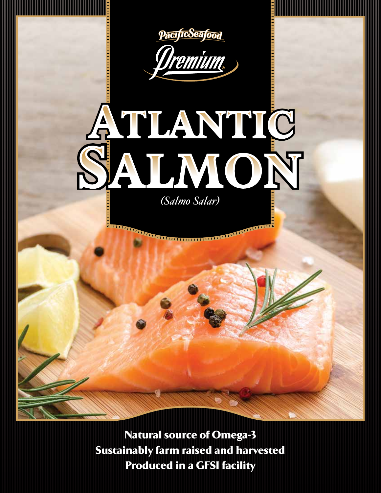



# SALMON

*(Salmo Salar)*

THE RESIDENCE OF REAL PROPERTY OF REAL PROPERTY.

Natural source of Omega-3 Sustainably farm raised and harvested Produced in a GFSI facility